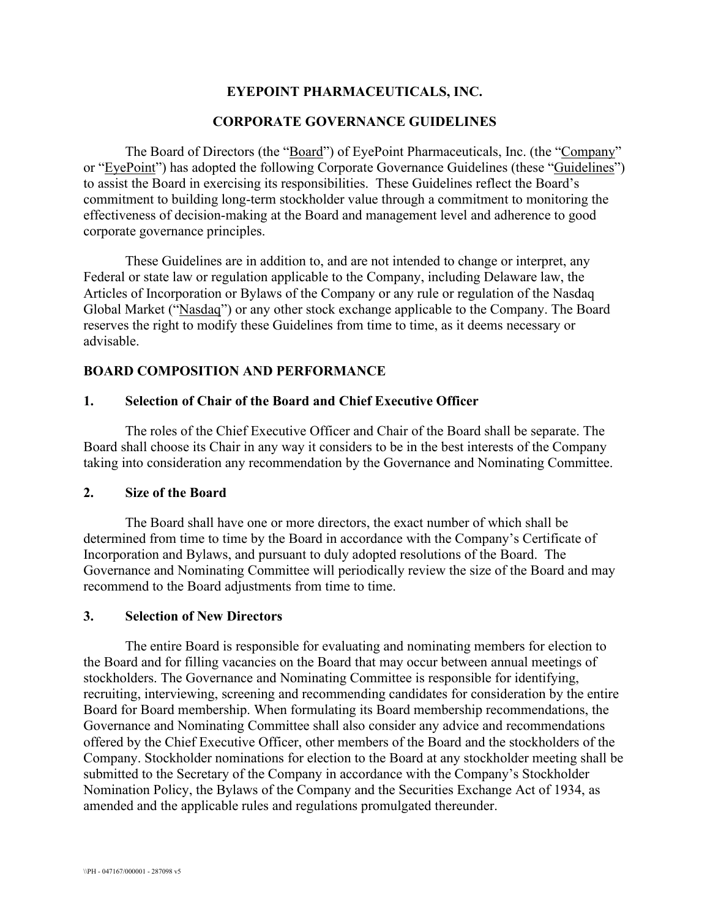# **EYEPOINT PHARMACEUTICALS, INC.**

### **CORPORATE GOVERNANCE GUIDELINES**

The Board of Directors (the "Board") of EyePoint Pharmaceuticals, Inc. (the "Company" or "EyePoint") has adopted the following Corporate Governance Guidelines (these "Guidelines") to assist the Board in exercising its responsibilities. These Guidelines reflect the Board's commitment to building long-term stockholder value through a commitment to monitoring the effectiveness of decision-making at the Board and management level and adherence to good corporate governance principles.

These Guidelines are in addition to, and are not intended to change or interpret, any Federal or state law or regulation applicable to the Company, including Delaware law, the Articles of Incorporation or Bylaws of the Company or any rule or regulation of the Nasdaq Global Market ("Nasdaq") or any other stock exchange applicable to the Company. The Board reserves the right to modify these Guidelines from time to time, as it deems necessary or advisable.

### **BOARD COMPOSITION AND PERFORMANCE**

### **1. Selection of Chair of the Board and Chief Executive Officer**

The roles of the Chief Executive Officer and Chair of the Board shall be separate. The Board shall choose its Chair in any way it considers to be in the best interests of the Company taking into consideration any recommendation by the Governance and Nominating Committee.

### **2. Size of the Board**

The Board shall have one or more directors, the exact number of which shall be determined from time to time by the Board in accordance with the Company's Certificate of Incorporation and Bylaws, and pursuant to duly adopted resolutions of the Board. The Governance and Nominating Committee will periodically review the size of the Board and may recommend to the Board adjustments from time to time.

#### **3. Selection of New Directors**

The entire Board is responsible for evaluating and nominating members for election to the Board and for filling vacancies on the Board that may occur between annual meetings of stockholders. The Governance and Nominating Committee is responsible for identifying, recruiting, interviewing, screening and recommending candidates for consideration by the entire Board for Board membership. When formulating its Board membership recommendations, the Governance and Nominating Committee shall also consider any advice and recommendations offered by the Chief Executive Officer, other members of the Board and the stockholders of the Company. Stockholder nominations for election to the Board at any stockholder meeting shall be submitted to the Secretary of the Company in accordance with the Company's Stockholder Nomination Policy, the Bylaws of the Company and the Securities Exchange Act of 1934, as amended and the applicable rules and regulations promulgated thereunder.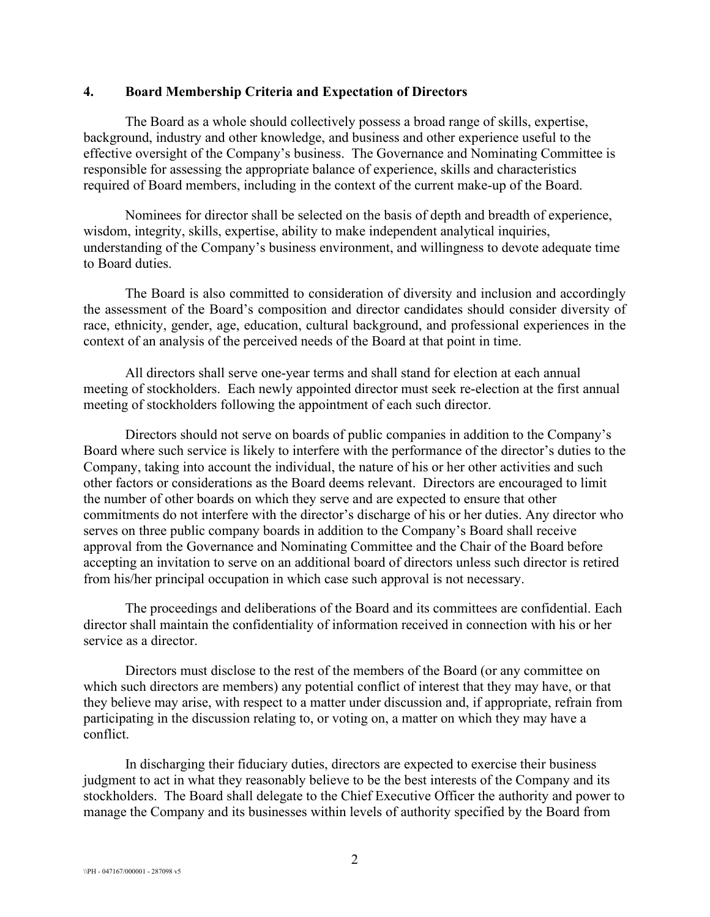#### **4. Board Membership Criteria and Expectation of Directors**

The Board as a whole should collectively possess a broad range of skills, expertise, background, industry and other knowledge, and business and other experience useful to the effective oversight of the Company's business. The Governance and Nominating Committee is responsible for assessing the appropriate balance of experience, skills and characteristics required of Board members, including in the context of the current make-up of the Board.

Nominees for director shall be selected on the basis of depth and breadth of experience, wisdom, integrity, skills, expertise, ability to make independent analytical inquiries, understanding of the Company's business environment, and willingness to devote adequate time to Board duties.

The Board is also committed to consideration of diversity and inclusion and accordingly the assessment of the Board's composition and director candidates should consider diversity of race, ethnicity, gender, age, education, cultural background, and professional experiences in the context of an analysis of the perceived needs of the Board at that point in time.

All directors shall serve one-year terms and shall stand for election at each annual meeting of stockholders. Each newly appointed director must seek re-election at the first annual meeting of stockholders following the appointment of each such director.

Directors should not serve on boards of public companies in addition to the Company's Board where such service is likely to interfere with the performance of the director's duties to the Company, taking into account the individual, the nature of his or her other activities and such other factors or considerations as the Board deems relevant. Directors are encouraged to limit the number of other boards on which they serve and are expected to ensure that other commitments do not interfere with the director's discharge of his or her duties. Any director who serves on three public company boards in addition to the Company's Board shall receive approval from the Governance and Nominating Committee and the Chair of the Board before accepting an invitation to serve on an additional board of directors unless such director is retired from his/her principal occupation in which case such approval is not necessary.

The proceedings and deliberations of the Board and its committees are confidential. Each director shall maintain the confidentiality of information received in connection with his or her service as a director.

Directors must disclose to the rest of the members of the Board (or any committee on which such directors are members) any potential conflict of interest that they may have, or that they believe may arise, with respect to a matter under discussion and, if appropriate, refrain from participating in the discussion relating to, or voting on, a matter on which they may have a conflict.

In discharging their fiduciary duties, directors are expected to exercise their business judgment to act in what they reasonably believe to be the best interests of the Company and its stockholders. The Board shall delegate to the Chief Executive Officer the authority and power to manage the Company and its businesses within levels of authority specified by the Board from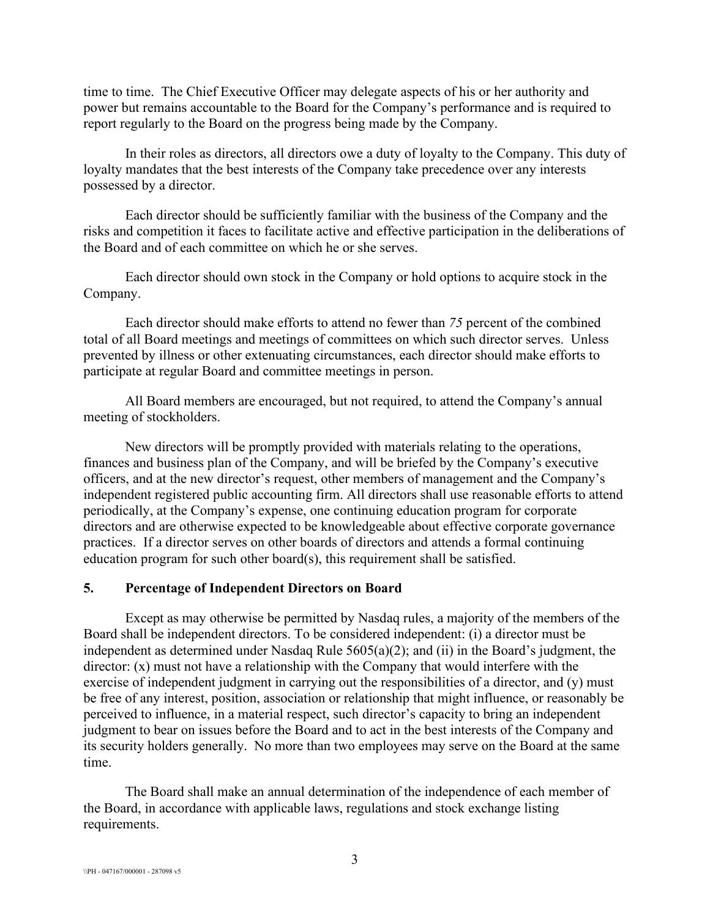time to time. The Chief Executive Officer may delegate aspects of his or her authority and power but remains accountable to the Board for the Company's performance and is required to report regularly to the Board on the progress being made by the Company.

In their roles as directors, all directors owe a duty of loyalty to the Company. This duty of loyalty mandates that the best interests of the Company take precedence over any interests possessed by a director.

Each director should be sufficiently familiar with the business of the Company and the risks and competition it faces to facilitate active and effective participation in the deliberations of the Board and of each committee on which he or she serves.

Each director should own stock in the Company or hold options to acquire stock in the Company.

Each director should make efforts to attend no fewer than *75* percent of the combined total of all Board meetings and meetings of committees on which such director serves. Unless prevented by illness or other extenuating circumstances, each director should make efforts to participate at regular Board and committee meetings in person.

All Board members are encouraged, but not required, to attend the Company's annual meeting of stockholders.

New directors will be promptly provided with materials relating to the operations, finances and business plan of the Company, and will be briefed by the Company's executive officers, and at the new director's request, other members of management and the Company's independent registered public accounting firm. All directors shall use reasonable efforts to attend periodically, at the Company's expense, one continuing education program for corporate directors and are otherwise expected to be knowledgeable about effective corporate governance practices. If a director serves on other boards of directors and attends a formal continuing education program for such other board(s), this requirement shall be satisfied.

#### **5. Percentage of Independent Directors on Board**

Except as may otherwise be permitted by Nasdaq rules, a majority of the members of the Board shall be independent directors. To be considered independent: (i) a director must be independent as determined under Nasdaq Rule 5605(a)(2); and (ii) in the Board's judgment, the director: (x) must not have a relationship with the Company that would interfere with the exercise of independent judgment in carrying out the responsibilities of a director, and (y) must be free of any interest, position, association or relationship that might influence, or reasonably be perceived to influence, in a material respect, such director's capacity to bring an independent judgment to bear on issues before the Board and to act in the best interests of the Company and its security holders generally. No more than two employees may serve on the Board at the same time.

The Board shall make an annual determination of the independence of each member of the Board, in accordance with applicable laws, regulations and stock exchange listing requirements.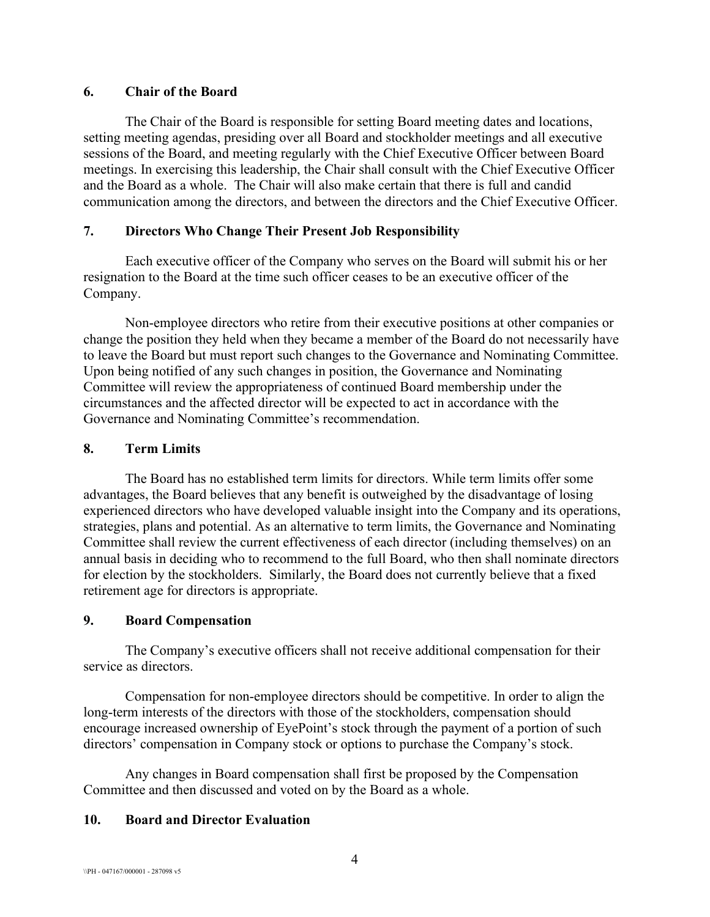### **6. Chair of the Board**

The Chair of the Board is responsible for setting Board meeting dates and locations, setting meeting agendas, presiding over all Board and stockholder meetings and all executive sessions of the Board, and meeting regularly with the Chief Executive Officer between Board meetings. In exercising this leadership, the Chair shall consult with the Chief Executive Officer and the Board as a whole. The Chair will also make certain that there is full and candid communication among the directors, and between the directors and the Chief Executive Officer.

## **7. Directors Who Change Their Present Job Responsibility**

Each executive officer of the Company who serves on the Board will submit his or her resignation to the Board at the time such officer ceases to be an executive officer of the Company.

Non-employee directors who retire from their executive positions at other companies or change the position they held when they became a member of the Board do not necessarily have to leave the Board but must report such changes to the Governance and Nominating Committee. Upon being notified of any such changes in position, the Governance and Nominating Committee will review the appropriateness of continued Board membership under the circumstances and the affected director will be expected to act in accordance with the Governance and Nominating Committee's recommendation.

# **8. Term Limits**

The Board has no established term limits for directors. While term limits offer some advantages, the Board believes that any benefit is outweighed by the disadvantage of losing experienced directors who have developed valuable insight into the Company and its operations, strategies, plans and potential. As an alternative to term limits, the Governance and Nominating Committee shall review the current effectiveness of each director (including themselves) on an annual basis in deciding who to recommend to the full Board, who then shall nominate directors for election by the stockholders. Similarly, the Board does not currently believe that a fixed retirement age for directors is appropriate.

## **9. Board Compensation**

The Company's executive officers shall not receive additional compensation for their service as directors.

Compensation for non-employee directors should be competitive. In order to align the long-term interests of the directors with those of the stockholders, compensation should encourage increased ownership of EyePoint's stock through the payment of a portion of such directors' compensation in Company stock or options to purchase the Company's stock.

Any changes in Board compensation shall first be proposed by the Compensation Committee and then discussed and voted on by the Board as a whole.

## **10. Board and Director Evaluation**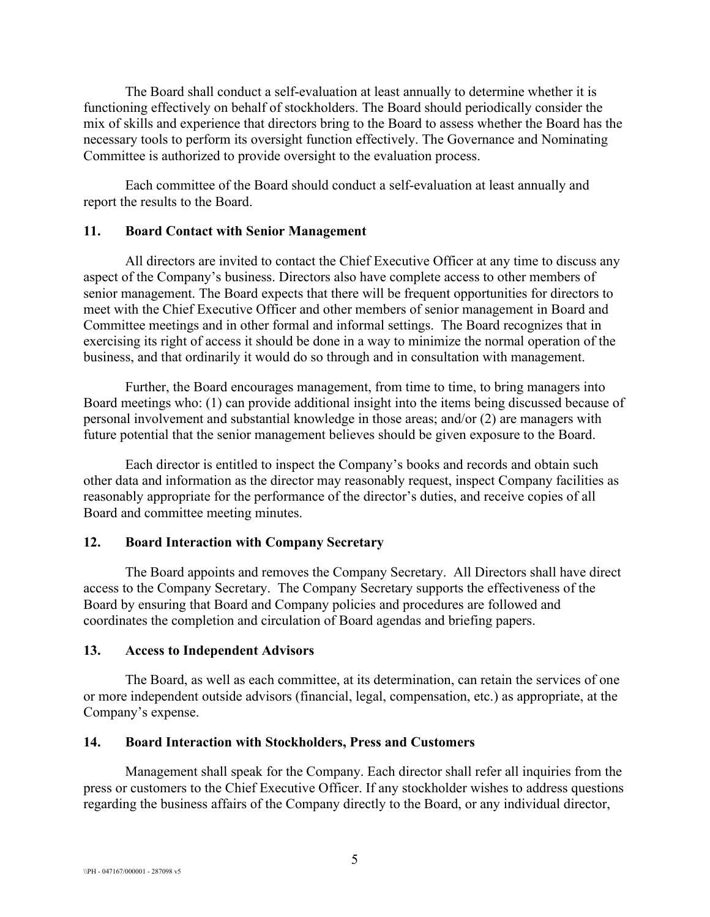The Board shall conduct a self-evaluation at least annually to determine whether it is functioning effectively on behalf of stockholders. The Board should periodically consider the mix of skills and experience that directors bring to the Board to assess whether the Board has the necessary tools to perform its oversight function effectively. The Governance and Nominating Committee is authorized to provide oversight to the evaluation process.

Each committee of the Board should conduct a self-evaluation at least annually and report the results to the Board.

#### **11. Board Contact with Senior Management**

All directors are invited to contact the Chief Executive Officer at any time to discuss any aspect of the Company's business. Directors also have complete access to other members of senior management. The Board expects that there will be frequent opportunities for directors to meet with the Chief Executive Officer and other members of senior management in Board and Committee meetings and in other formal and informal settings. The Board recognizes that in exercising its right of access it should be done in a way to minimize the normal operation of the business, and that ordinarily it would do so through and in consultation with management.

Further, the Board encourages management, from time to time, to bring managers into Board meetings who: (1) can provide additional insight into the items being discussed because of personal involvement and substantial knowledge in those areas; and/or (2) are managers with future potential that the senior management believes should be given exposure to the Board.

Each director is entitled to inspect the Company's books and records and obtain such other data and information as the director may reasonably request, inspect Company facilities as reasonably appropriate for the performance of the director's duties, and receive copies of all Board and committee meeting minutes.

#### **12. Board Interaction with Company Secretary**

The Board appoints and removes the Company Secretary. All Directors shall have direct access to the Company Secretary. The Company Secretary supports the effectiveness of the Board by ensuring that Board and Company policies and procedures are followed and coordinates the completion and circulation of Board agendas and briefing papers.

#### **13. Access to Independent Advisors**

The Board, as well as each committee, at its determination, can retain the services of one or more independent outside advisors (financial, legal, compensation, etc.) as appropriate, at the Company's expense.

#### **14. Board Interaction with Stockholders, Press and Customers**

Management shall speak for the Company. Each director shall refer all inquiries from the press or customers to the Chief Executive Officer. If any stockholder wishes to address questions regarding the business affairs of the Company directly to the Board, or any individual director,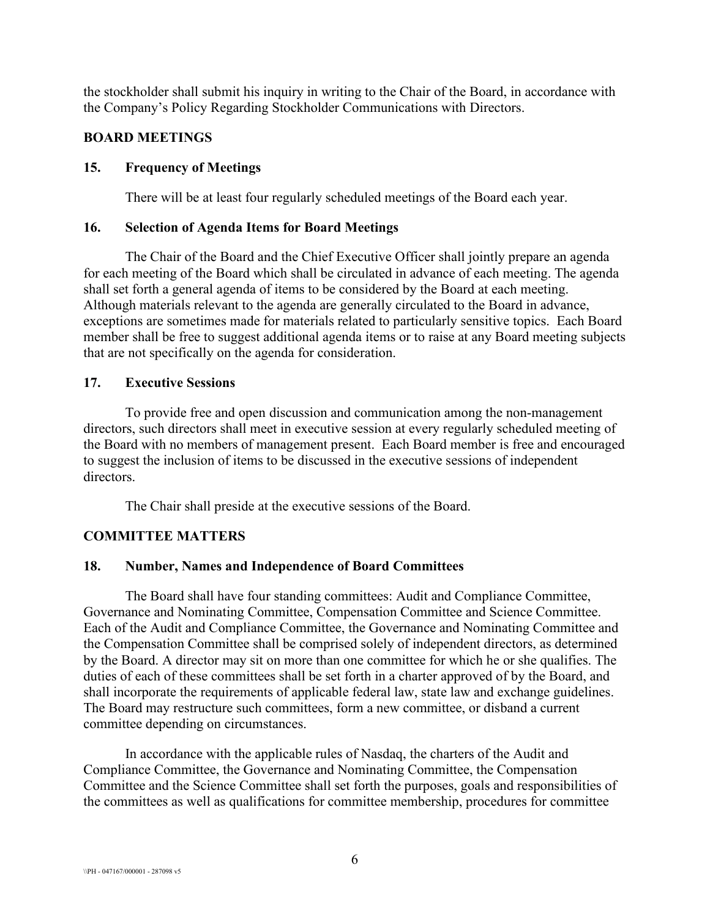the stockholder shall submit his inquiry in writing to the Chair of the Board, in accordance with the Company's Policy Regarding Stockholder Communications with Directors.

## **BOARD MEETINGS**

## **15. Frequency of Meetings**

There will be at least four regularly scheduled meetings of the Board each year.

## **16. Selection of Agenda Items for Board Meetings**

The Chair of the Board and the Chief Executive Officer shall jointly prepare an agenda for each meeting of the Board which shall be circulated in advance of each meeting. The agenda shall set forth a general agenda of items to be considered by the Board at each meeting. Although materials relevant to the agenda are generally circulated to the Board in advance, exceptions are sometimes made for materials related to particularly sensitive topics. Each Board member shall be free to suggest additional agenda items or to raise at any Board meeting subjects that are not specifically on the agenda for consideration.

# **17. Executive Sessions**

To provide free and open discussion and communication among the non-management directors, such directors shall meet in executive session at every regularly scheduled meeting of the Board with no members of management present. Each Board member is free and encouraged to suggest the inclusion of items to be discussed in the executive sessions of independent directors.

The Chair shall preside at the executive sessions of the Board.

# **COMMITTEE MATTERS**

# **18. Number, Names and Independence of Board Committees**

The Board shall have four standing committees: Audit and Compliance Committee, Governance and Nominating Committee, Compensation Committee and Science Committee. Each of the Audit and Compliance Committee, the Governance and Nominating Committee and the Compensation Committee shall be comprised solely of independent directors, as determined by the Board. A director may sit on more than one committee for which he or she qualifies. The duties of each of these committees shall be set forth in a charter approved of by the Board, and shall incorporate the requirements of applicable federal law, state law and exchange guidelines. The Board may restructure such committees, form a new committee, or disband a current committee depending on circumstances.

In accordance with the applicable rules of Nasdaq, the charters of the Audit and Compliance Committee, the Governance and Nominating Committee, the Compensation Committee and the Science Committee shall set forth the purposes, goals and responsibilities of the committees as well as qualifications for committee membership, procedures for committee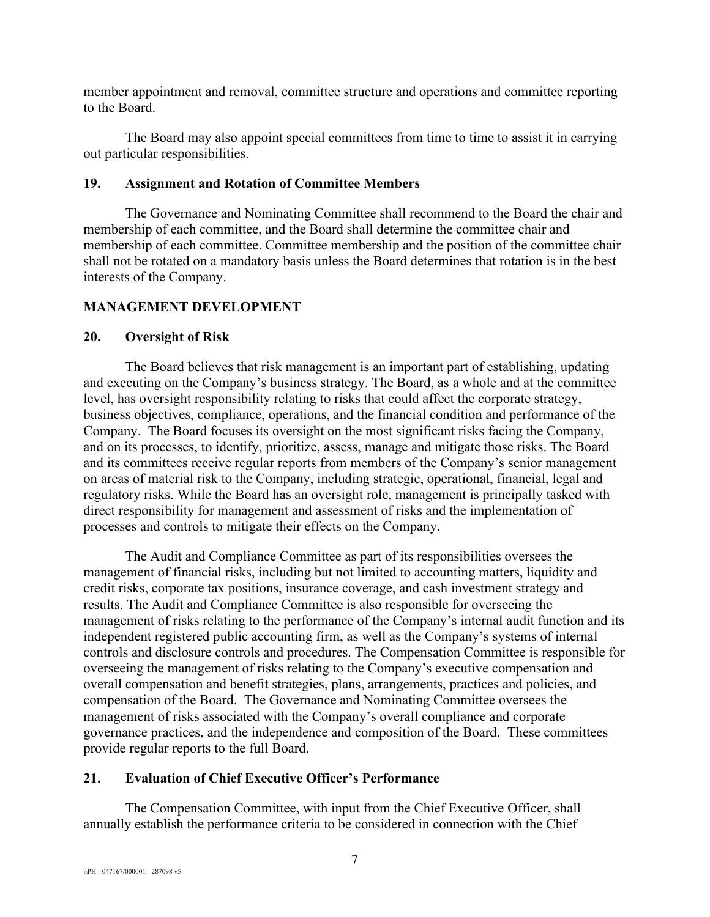member appointment and removal, committee structure and operations and committee reporting to the Board.

The Board may also appoint special committees from time to time to assist it in carrying out particular responsibilities.

### **19. Assignment and Rotation of Committee Members**

The Governance and Nominating Committee shall recommend to the Board the chair and membership of each committee, and the Board shall determine the committee chair and membership of each committee. Committee membership and the position of the committee chair shall not be rotated on a mandatory basis unless the Board determines that rotation is in the best interests of the Company.

## **MANAGEMENT DEVELOPMENT**

### **20. Oversight of Risk**

The Board believes that risk management is an important part of establishing, updating and executing on the Company's business strategy. The Board, as a whole and at the committee level, has oversight responsibility relating to risks that could affect the corporate strategy, business objectives, compliance, operations, and the financial condition and performance of the Company. The Board focuses its oversight on the most significant risks facing the Company, and on its processes, to identify, prioritize, assess, manage and mitigate those risks. The Board and its committees receive regular reports from members of the Company's senior management on areas of material risk to the Company, including strategic, operational, financial, legal and regulatory risks. While the Board has an oversight role, management is principally tasked with direct responsibility for management and assessment of risks and the implementation of processes and controls to mitigate their effects on the Company.

The Audit and Compliance Committee as part of its responsibilities oversees the management of financial risks, including but not limited to accounting matters, liquidity and credit risks, corporate tax positions, insurance coverage, and cash investment strategy and results. The Audit and Compliance Committee is also responsible for overseeing the management of risks relating to the performance of the Company's internal audit function and its independent registered public accounting firm, as well as the Company's systems of internal controls and disclosure controls and procedures. The Compensation Committee is responsible for overseeing the management of risks relating to the Company's executive compensation and overall compensation and benefit strategies, plans, arrangements, practices and policies, and compensation of the Board. The Governance and Nominating Committee oversees the management of risks associated with the Company's overall compliance and corporate governance practices, and the independence and composition of the Board. These committees provide regular reports to the full Board.

## **21. Evaluation of Chief Executive Officer's Performance**

The Compensation Committee, with input from the Chief Executive Officer, shall annually establish the performance criteria to be considered in connection with the Chief